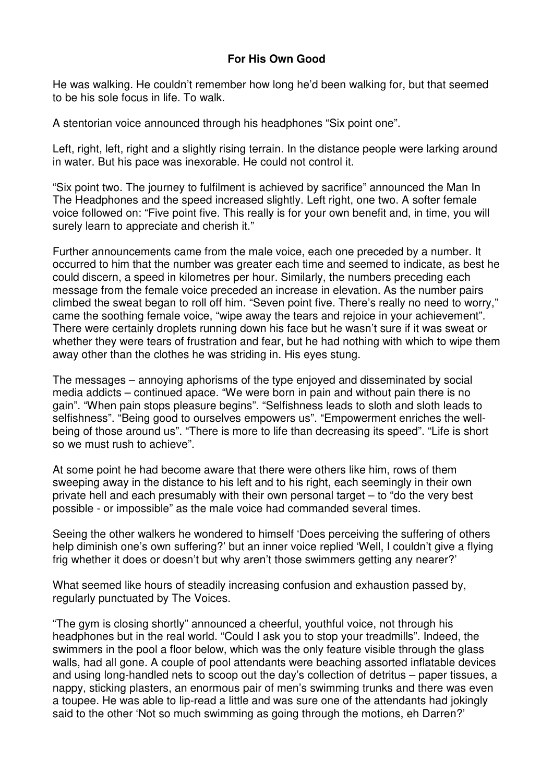## **For His Own Good**

He was walking. He couldn't remember how long he'd been walking for, but that seemed to be his sole focus in life. To walk.

A stentorian voice announced through his headphones "Six point one".

Left, right, left, right and a slightly rising terrain. In the distance people were larking around in water. But his pace was inexorable. He could not control it.

"Six point two. The journey to fulfilment is achieved by sacrifice" announced the Man In The Headphones and the speed increased slightly. Left right, one two. A softer female voice followed on: "Five point five. This really is for your own benefit and, in time, you will surely learn to appreciate and cherish it."

Further announcements came from the male voice, each one preceded by a number. It occurred to him that the number was greater each time and seemed to indicate, as best he could discern, a speed in kilometres per hour. Similarly, the numbers preceding each message from the female voice preceded an increase in elevation. As the number pairs climbed the sweat began to roll off him. "Seven point five. There's really no need to worry," came the soothing female voice, "wipe away the tears and rejoice in your achievement". There were certainly droplets running down his face but he wasn't sure if it was sweat or whether they were tears of frustration and fear, but he had nothing with which to wipe them away other than the clothes he was striding in. His eyes stung.

The messages – annoying aphorisms of the type enjoyed and disseminated by social media addicts – continued apace. "We were born in pain and without pain there is no gain". "When pain stops pleasure begins". "Selfishness leads to sloth and sloth leads to selfishness". "Being good to ourselves empowers us". "Empowerment enriches the wellbeing of those around us". "There is more to life than decreasing its speed". "Life is short so we must rush to achieve".

At some point he had become aware that there were others like him, rows of them sweeping away in the distance to his left and to his right, each seemingly in their own private hell and each presumably with their own personal target – to "do the very best possible - or impossible" as the male voice had commanded several times.

Seeing the other walkers he wondered to himself 'Does perceiving the suffering of others help diminish one's own suffering?' but an inner voice replied 'Well, I couldn't give a flying frig whether it does or doesn't but why aren't those swimmers getting any nearer?'

What seemed like hours of steadily increasing confusion and exhaustion passed by, regularly punctuated by The Voices.

"The gym is closing shortly" announced a cheerful, youthful voice, not through his headphones but in the real world. "Could I ask you to stop your treadmills". Indeed, the swimmers in the pool a floor below, which was the only feature visible through the glass walls, had all gone. A couple of pool attendants were beaching assorted inflatable devices and using long-handled nets to scoop out the day's collection of detritus – paper tissues, a nappy, sticking plasters, an enormous pair of men's swimming trunks and there was even a toupee. He was able to lip-read a little and was sure one of the attendants had jokingly said to the other 'Not so much swimming as going through the motions, eh Darren?'